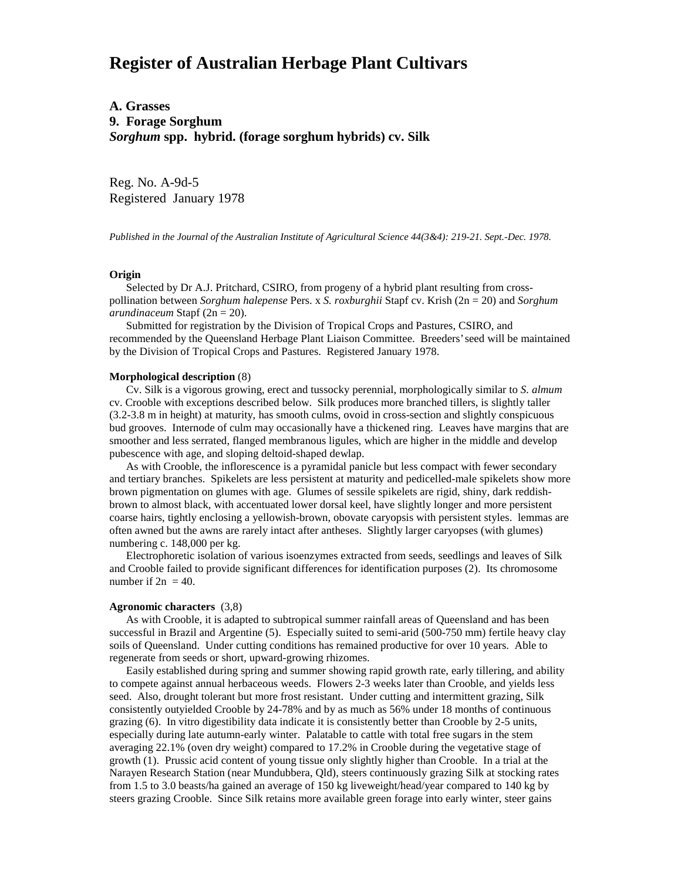# **Register of Australian Herbage Plant Cultivars**

**A. Grasses 9. Forage Sorghum** *Sorghum* **spp. hybrid. (forage sorghum hybrids) cv. Silk**

Reg. No. A-9d-5 Registered January 1978

*Published in the Journal of the Australian Institute of Agricultural Science 44(3&4): 219-21. Sept.-Dec. 1978.*

## **Origin**

 Selected by Dr A.J. Pritchard, CSIRO, from progeny of a hybrid plant resulting from crosspollination between *Sorghum halepense* Pers. x *S. roxburghii* Stapf cv. Krish (2n = 20) and *Sorghum arundinaceum* Stapf (2n = 20).

 Submitted for registration by the Division of Tropical Crops and Pastures, CSIRO, and recommended by the Queensland Herbage Plant Liaison Committee. Breeders' seed will be maintained by the Division of Tropical Crops and Pastures. Registered January 1978.

### **Morphological description** (8)

 Cv. Silk is a vigorous growing, erect and tussocky perennial, morphologically similar to *S. almum* cv. Crooble with exceptions described below. Silk produces more branched tillers, is slightly taller (3.2-3.8 m in height) at maturity, has smooth culms, ovoid in cross-section and slightly conspicuous bud grooves. Internode of culm may occasionally have a thickened ring. Leaves have margins that are smoother and less serrated, flanged membranous ligules, which are higher in the middle and develop pubescence with age, and sloping deltoid-shaped dewlap.

 As with Crooble, the inflorescence is a pyramidal panicle but less compact with fewer secondary and tertiary branches. Spikelets are less persistent at maturity and pedicelled-male spikelets show more brown pigmentation on glumes with age. Glumes of sessile spikelets are rigid, shiny, dark reddishbrown to almost black, with accentuated lower dorsal keel, have slightly longer and more persistent coarse hairs, tightly enclosing a yellowish-brown, obovate caryopsis with persistent styles. lemmas are often awned but the awns are rarely intact after antheses. Slightly larger caryopses (with glumes) numbering c. 148,000 per kg.

 Electrophoretic isolation of various isoenzymes extracted from seeds, seedlings and leaves of Silk and Crooble failed to provide significant differences for identification purposes (2). Its chromosome number if  $2n = 40$ .

#### **Agronomic characters** (3,8)

 As with Crooble, it is adapted to subtropical summer rainfall areas of Queensland and has been successful in Brazil and Argentine (5). Especially suited to semi-arid (500-750 mm) fertile heavy clay soils of Queensland. Under cutting conditions has remained productive for over 10 years. Able to regenerate from seeds or short, upward-growing rhizomes.

 Easily established during spring and summer showing rapid growth rate, early tillering, and ability to compete against annual herbaceous weeds. Flowers 2-3 weeks later than Crooble, and yields less seed. Also, drought tolerant but more frost resistant. Under cutting and intermittent grazing, Silk consistently outyielded Crooble by 24-78% and by as much as 56% under 18 months of continuous grazing (6). In vitro digestibility data indicate it is consistently better than Crooble by 2-5 units, especially during late autumn-early winter. Palatable to cattle with total free sugars in the stem averaging 22.1% (oven dry weight) compared to 17.2% in Crooble during the vegetative stage of growth (1). Prussic acid content of young tissue only slightly higher than Crooble. In a trial at the Narayen Research Station (near Mundubbera, Qld), steers continuously grazing Silk at stocking rates from 1.5 to 3.0 beasts/ha gained an average of 150 kg liveweight/head/year compared to 140 kg by steers grazing Crooble. Since Silk retains more available green forage into early winter, steer gains